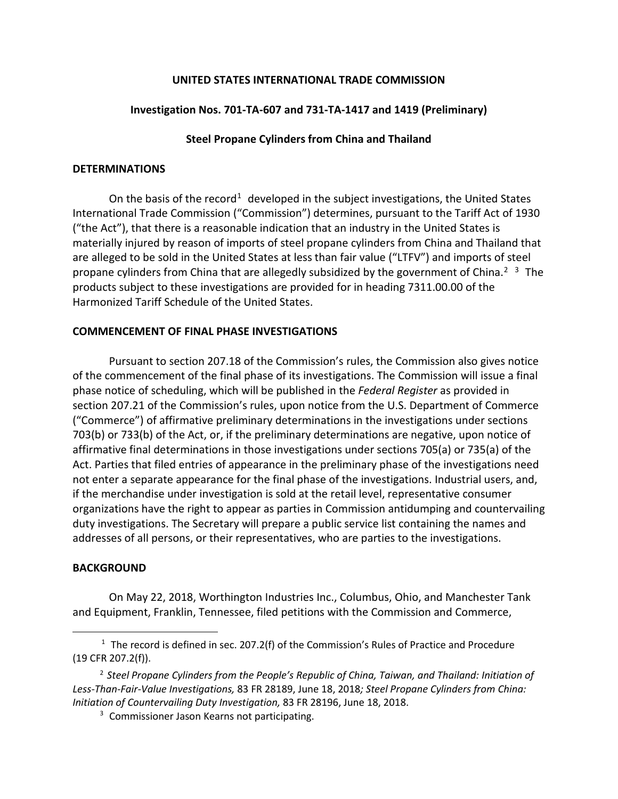## **UNITED STATES INTERNATIONAL TRADE COMMISSION**

# **Investigation Nos. 701-TA-607 and 731-TA-1417 and 1419 (Preliminary)**

### **Steel Propane Cylinders from China and Thailand**

#### **DETERMINATIONS**

On the basis of the record<sup>[1](#page-0-0)</sup> developed in the subject investigations, the United States International Trade Commission ("Commission") determines, pursuant to the Tariff Act of 1930 ("the Act"), that there is a reasonable indication that an industry in the United States is materially injured by reason of imports of steel propane cylinders from China and Thailand that are alleged to be sold in the United States at less than fair value ("LTFV") and imports of steel propane cylinders from China that are allegedly subsidized by the government of China.<sup>[2](#page-0-1)</sup><sup>[3](#page-0-2)</sup> The products subject to these investigations are provided for in heading 7311.00.00 of the Harmonized Tariff Schedule of the United States.

### **COMMENCEMENT OF FINAL PHASE INVESTIGATIONS**

Pursuant to section 207.18 of the Commission's rules, the Commission also gives notice of the commencement of the final phase of its investigations. The Commission will issue a final phase notice of scheduling, which will be published in the *Federal Register* as provided in section 207.21 of the Commission's rules, upon notice from the U.S. Department of Commerce ("Commerce") of affirmative preliminary determinations in the investigations under sections 703(b) or 733(b) of the Act, or, if the preliminary determinations are negative, upon notice of affirmative final determinations in those investigations under sections 705(a) or 735(a) of the Act. Parties that filed entries of appearance in the preliminary phase of the investigations need not enter a separate appearance for the final phase of the investigations. Industrial users, and, if the merchandise under investigation is sold at the retail level, representative consumer organizations have the right to appear as parties in Commission antidumping and countervailing duty investigations. The Secretary will prepare a public service list containing the names and addresses of all persons, or their representatives, who are parties to the investigations.

# **BACKGROUND**

 $\overline{a}$ 

On May 22, 2018, Worthington Industries Inc., Columbus, Ohio, and Manchester Tank and Equipment, Franklin, Tennessee, filed petitions with the Commission and Commerce,

<span id="page-0-0"></span> $1$  The record is defined in sec. 207.2(f) of the Commission's Rules of Practice and Procedure (19 CFR 207.2(f)).

<span id="page-0-2"></span><span id="page-0-1"></span><sup>2</sup> *Steel Propane Cylinders from the People's Republic of China, Taiwan, and Thailand: Initiation of Less-Than-Fair-Value Investigations,* 83 FR 28189, June 18, 2018*; Steel Propane Cylinders from China: Initiation of Countervailing Duty Investigation,* 83 FR 28196, June 18, 2018.

<sup>&</sup>lt;sup>3</sup> Commissioner Jason Kearns not participating.